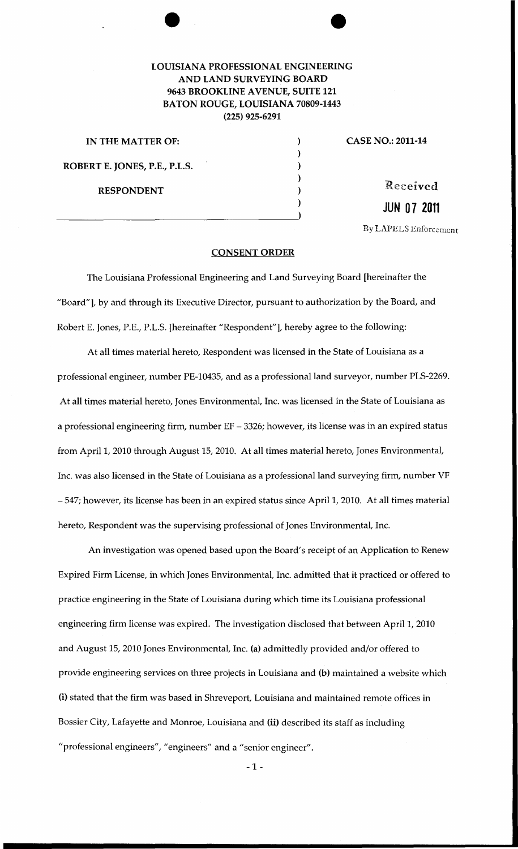## LOUISIANA PROFESSIONAL ENGINEERING AND LAND SURVEYING BOARD 9643 BROOKLINE AVENUE, SUITE 121 BATON ROUGE, LOUISIANA 70809-1443 (225) 925-6291

| IN THE MATTER OF:             |  |
|-------------------------------|--|
|                               |  |
| ROBERT E. JONES, P.E., P.L.S. |  |
|                               |  |
| <b>RESPONDENT</b>             |  |
|                               |  |
|                               |  |

) CASE NO.: 2011-14

Received **JUN 07 2011** 

**By LAPELS Enforcement** 

## CONSENT ORDER

The Louisiana Professional Engineering and Land Surveying Board [hereinafter the "Board"], by and through its Executive Director, pursuant to authorization by the Board, and Robert E. Jones, P.E., P.L.S. [hereinafter "Respondent"], hereby agree to the following:

At all times material hereto, Respondent was licensed in the State of Louisiana as a professional engineer, number PE-10435, and as a professional land surveyor, number PLS-2269. At all times material hereto, Jones Environmental, Inc. was licensed in the State of Louisiana as a professional engineering firm, number EF- 3326; however, its license was in an expired status from April 1, 2010 through August 15, 2010. At all times material hereto, Jones Environmental, Inc. was also licensed in the State of Louisiana as a professional land surveying firm, number VF - 547; however, its license has been in an expired status since April1, 2010. At all times material hereto, Respondent was the supervising professional of Jones Environmental, Inc.

An investigation was opened based upon the Board's receipt of an Application to Renew Expired Firm License, in which Jones Environmental, Inc. admitted that it practiced or offered to practice engineering in the State of Louisiana during which time its Louisiana professional engineering firm license was expired. The investigation disclosed that between April 1, 2010 and August 15, 2010 Jones Environmental, Inc. (a) admittedly provided and/or offered to provide engineering services on three projects in Louisiana and (b) maintained a website which (i) stated that the firm was based in Shreveport, Louisiana and maintained remote offices in Bossier City, Lafayette and Monroe, Louisiana and (ii) described its staff as including "professional engineers", "engineers" and a "senior engineer".

-1-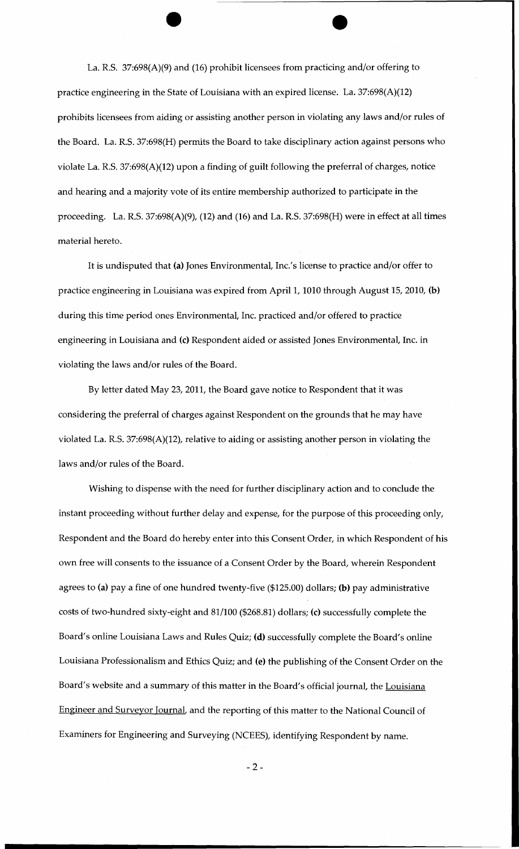La. R.S. 37:698(A)(9) and (16) prohibit licensees from practicing and/or offering to practice engineering in the State of Louisiana with an expired license. La. 37:698(A)(12) prohibits licensees from aiding or assisting another person in violating any laws and/or rules of the Board. La. R.S. 37:698(H) permits the Board to take disciplinary action against persons who violate La. R.S. 37:698(A)(12) upon a finding of guilt following the preferral of charges, notice and hearing and a majority vote of its entire membership authorized to participate in the proceeding. La. R.S. 37:698(A)(9), (12) and (16) and La. R.S. 37:698(H) were in effect at all times material hereto.

It is undisputed that (a) Jones Environmental, Inc.'s license to practice and/or offer to practice engineering in Louisiana was expired from April 1, 1010 through August 15, 2010, (b) during this time period ones Environmental, Inc. practiced and/or offered to practice engineering in Louisiana and (c) Respondent aided or assisted Jones Environmental, Inc. in violating the laws and/or rules of the Board.

By letter dated May 23, 2011, the Board gave notice to Respondent that it was considering the preferral of charges against Respondent on the grounds that he may have violated La. R.S. 37:698(A)(12), relative to aiding or assisting another person in violating the laws and/or rules of the Board.

Wishing to dispense with the need for further disciplinary action and to conclude the instant proceeding without further delay and expense, for the purpose of this proceeding only, Respondent and the Board do hereby enter into this Consent Order, in which Respondent of his own free will consents to the issuance of a Consent Order by the Board, wherein Respondent agrees to (a) pay a fine of one hundred twenty-five (\$125.00) dollars; (b) pay administrative costs of two-hundred sixty-eight and 81/100 (\$268.81) dollars; (c) successfully complete the Board's online Louisiana Laws and Rules Quiz; (d) successfully complete the Board's online Louisiana Professionalism and Ethics Quiz; and (e) the publishing of the Consent Order on the Board's website and a summary of this matter in the Board's official journal, the Louisiana Engineer and Surveyor Journal, and the reporting of this matter to the National Council of Examiners for Engineering and Surveying (NCEES), identifying Respondent by name.

-2-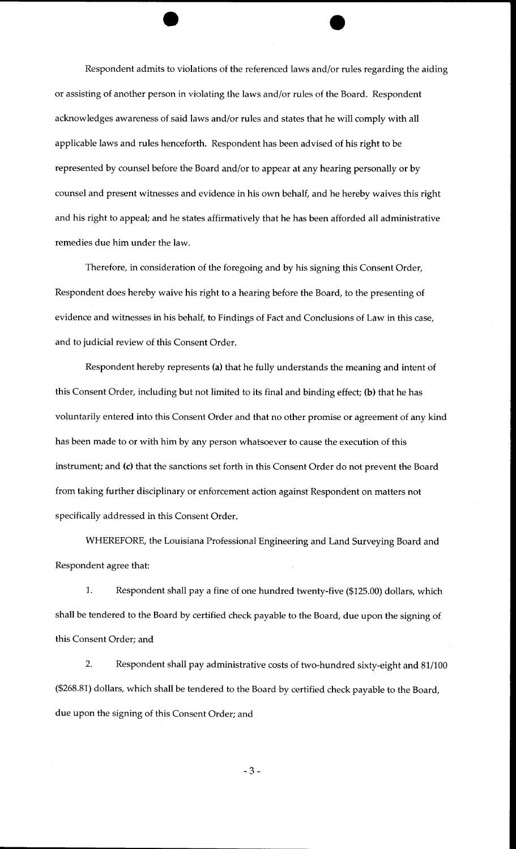Respondent admits to violations of the referenced laws and/or rules regarding the aiding or assisting of another person in violating the laws and/or rules of the Board. Respondent acknowledges awareness of said laws and/or rules and states that he will comply with all applicable laws and rules henceforth. Respondent has been advised of his right to be represented by counsel before the Board and/or to appear at any hearing personally or by counsel and present witnesses and evidence in his own behalf, and he hereby waives this right and his right to appeal; and he states affirmatively that he has been afforded all administrative remedies due him under the law.

Therefore, in consideration of the foregoing and by his signing this Consent Order, Respondent does hereby waive his right to a hearing before the Board, to the presenting of evidence and witnesses in his behalf, to Findings of Fact and Conclusions of Law in this case, and to judicial review of this Consent Order.

Respondent hereby represents (a) that he fully understands the meaning and intent of this Consent Order, including but not limited to its final and binding effect; (b) that he has voluntarily entered into this Consent Order and that no other promise or agreement of any kind has been made to or with him by any person whatsoever to cause the execution of this instrument; and (c) that the sanctions set forth in this Consent Order do not prevent the Board from taking further disciplinary or enforcement action against Respondent on matters not specifically addressed in this Consent Order.

WHEREFORE, the Louisiana Professional Engineering and Land Surveying Board and Respondent agree that:

1. Respondent shall pay a fine of one hundred twenty-five (\$125.00) dollars, which shall be tendered to the Board by certified check payable to the Board, due upon the signing of this Consent Order; and

2. Respondent shall pay administrative costs of two-hundred sixty-eight and 81/100 (\$268.81) dollars, which shall be tendered to the Board by certified check payable to the Board, due upon the signing of this Consent Order; and

-3-